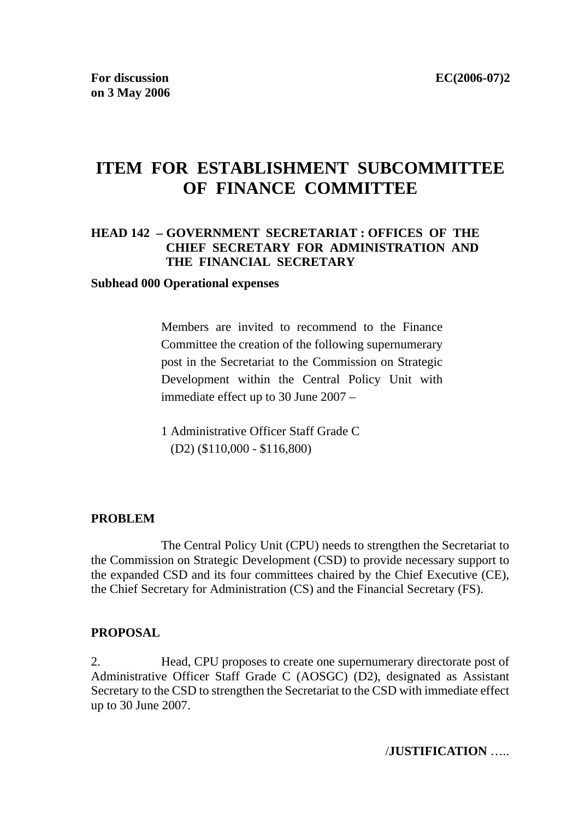# **ITEM FOR ESTABLISHMENT SUBCOMMITTEE OF FINANCE COMMITTEE**

### **HEAD 142** − **GOVERNMENT SECRETARIAT : OFFICES OF THE CHIEF SECRETARY FOR ADMINISTRATION AND THE FINANCIAL SECRETARY**

#### **Subhead 000 Operational expenses**

Members are invited to recommend to the Finance Committee the creation of the following supernumerary post in the Secretariat to the Commission on Strategic Development within the Central Policy Unit with immediate effect up to 30 June 2007 –

1 Administrative Officer Staff Grade C (D2) (\$110,000 - \$116,800)

#### **PROBLEM**

 The Central Policy Unit (CPU) needs to strengthen the Secretariat to the Commission on Strategic Development (CSD) to provide necessary support to the expanded CSD and its four committees chaired by the Chief Executive (CE), the Chief Secretary for Administration (CS) and the Financial Secretary (FS).

#### **PROPOSAL**

2. Head, CPU proposes to create one supernumerary directorate post of Administrative Officer Staff Grade C (AOSGC) (D2), designated as Assistant Secretary to the CSD to strengthen the Secretariat to the CSD with immediate effect up to 30 June 2007.

/**JUSTIFICATION** …..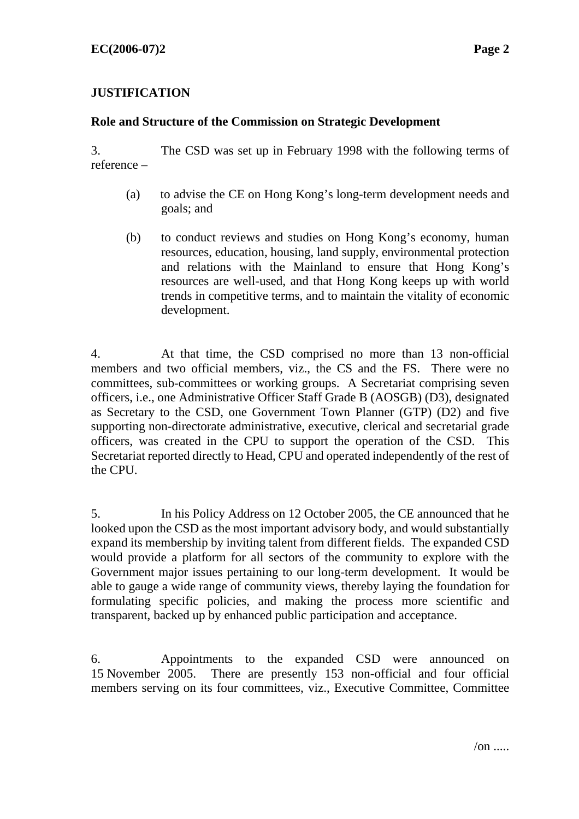### **JUSTIFICATION**

### **Role and Structure of the Commission on Strategic Development**

3. The CSD was set up in February 1998 with the following terms of reference –

- (a) to advise the CE on Hong Kong's long-term development needs and goals; and
- (b) to conduct reviews and studies on Hong Kong's economy, human resources, education, housing, land supply, environmental protection and relations with the Mainland to ensure that Hong Kong's resources are well-used, and that Hong Kong keeps up with world trends in competitive terms, and to maintain the vitality of economic development.

4. At that time, the CSD comprised no more than 13 non-official members and two official members, viz., the CS and the FS. There were no committees, sub-committees or working groups. A Secretariat comprising seven officers, i.e., one Administrative Officer Staff Grade B (AOSGB) (D3), designated as Secretary to the CSD, one Government Town Planner (GTP) (D2) and five supporting non-directorate administrative, executive, clerical and secretarial grade officers, was created in the CPU to support the operation of the CSD. This Secretariat reported directly to Head, CPU and operated independently of the rest of the CPU.

5. In his Policy Address on 12 October 2005, the CE announced that he looked upon the CSD as the most important advisory body, and would substantially expand its membership by inviting talent from different fields. The expanded CSD would provide a platform for all sectors of the community to explore with the Government major issues pertaining to our long-term development. It would be able to gauge a wide range of community views, thereby laying the foundation for formulating specific policies, and making the process more scientific and transparent, backed up by enhanced public participation and acceptance.

6. Appointments to the expanded CSD were announced on 15 November 2005. There are presently 153 non-official and four official members serving on its four committees, viz., Executive Committee, Committee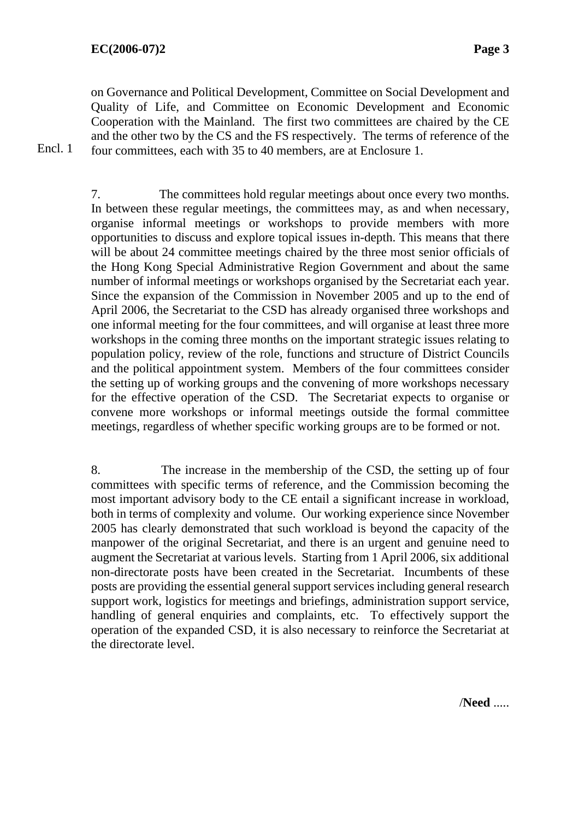Encl. 1

on Governance and Political Development, Committee on Social Development and Quality of Life, and Committee on Economic Development and Economic Cooperation with the Mainland. The first two committees are chaired by the CE and the other two by the CS and the FS respectively. The terms of reference of the four committees, each with 35 to 40 members, are at Enclosure 1.

7. The committees hold regular meetings about once every two months. In between these regular meetings, the committees may, as and when necessary, organise informal meetings or workshops to provide members with more opportunities to discuss and explore topical issues in-depth. This means that there will be about 24 committee meetings chaired by the three most senior officials of the Hong Kong Special Administrative Region Government and about the same number of informal meetings or workshops organised by the Secretariat each year. Since the expansion of the Commission in November 2005 and up to the end of April 2006, the Secretariat to the CSD has already organised three workshops and one informal meeting for the four committees, and will organise at least three more workshops in the coming three months on the important strategic issues relating to population policy, review of the role, functions and structure of District Councils and the political appointment system. Members of the four committees consider the setting up of working groups and the convening of more workshops necessary for the effective operation of the CSD. The Secretariat expects to organise or convene more workshops or informal meetings outside the formal committee meetings, regardless of whether specific working groups are to be formed or not.

8. The increase in the membership of the CSD, the setting up of four committees with specific terms of reference, and the Commission becoming the most important advisory body to the CE entail a significant increase in workload, both in terms of complexity and volume. Our working experience since November 2005 has clearly demonstrated that such workload is beyond the capacity of the manpower of the original Secretariat, and there is an urgent and genuine need to augment the Secretariat at various levels. Starting from 1 April 2006, six additional non-directorate posts have been created in the Secretariat. Incumbents of these posts are providing the essential general support services including general research support work, logistics for meetings and briefings, administration support service, handling of general enquiries and complaints, etc. To effectively support the operation of the expanded CSD, it is also necessary to reinforce the Secretariat at the directorate level.

/**Need** .....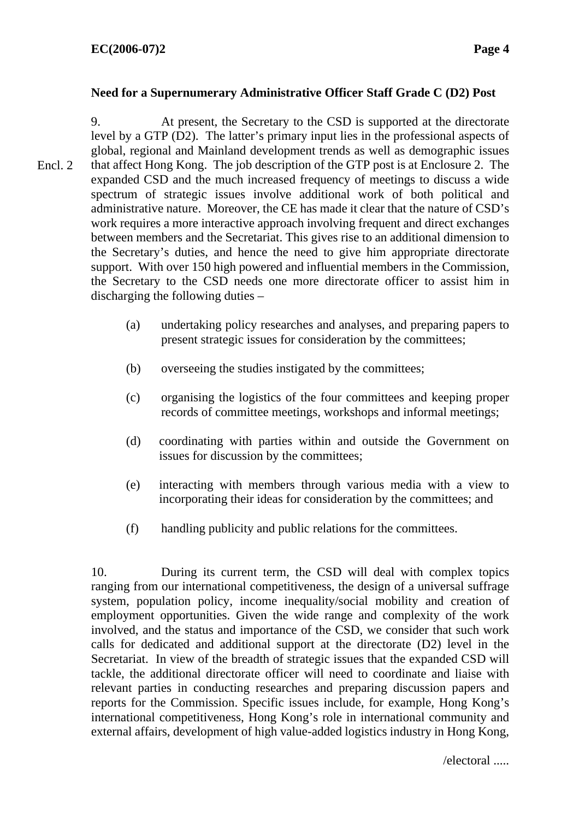### **Need for a Supernumerary Administrative Officer Staff Grade C (D2) Post**

9. At present, the Secretary to the CSD is supported at the directorate level by a GTP (D2). The latter's primary input lies in the professional aspects of global, regional and Mainland development trends as well as demographic issues that affect Hong Kong. The job description of the GTP post is at Enclosure 2. The expanded CSD and the much increased frequency of meetings to discuss a wide spectrum of strategic issues involve additional work of both political and administrative nature. Moreover, the CE has made it clear that the nature of CSD's work requires a more interactive approach involving frequent and direct exchanges between members and the Secretariat. This gives rise to an additional dimension to the Secretary's duties, and hence the need to give him appropriate directorate support. With over 150 high powered and influential members in the Commission, the Secretary to the CSD needs one more directorate officer to assist him in discharging the following duties – Encl. 2

- (a) undertaking policy researches and analyses, and preparing papers to present strategic issues for consideration by the committees;
- (b) overseeing the studies instigated by the committees;
- (c) organising the logistics of the four committees and keeping proper records of committee meetings, workshops and informal meetings;
- (d) coordinating with parties within and outside the Government on issues for discussion by the committees;
- (e) interacting with members through various media with a view to incorporating their ideas for consideration by the committees; and
- (f) handling publicity and public relations for the committees.

10. During its current term, the CSD will deal with complex topics ranging from our international competitiveness, the design of a universal suffrage system, population policy, income inequality/social mobility and creation of employment opportunities. Given the wide range and complexity of the work involved, and the status and importance of the CSD, we consider that such work calls for dedicated and additional support at the directorate (D2) level in the Secretariat. In view of the breadth of strategic issues that the expanded CSD will tackle, the additional directorate officer will need to coordinate and liaise with relevant parties in conducting researches and preparing discussion papers and reports for the Commission. Specific issues include, for example, Hong Kong's international competitiveness, Hong Kong's role in international community and external affairs, development of high value-added logistics industry in Hong Kong,

/electoral .....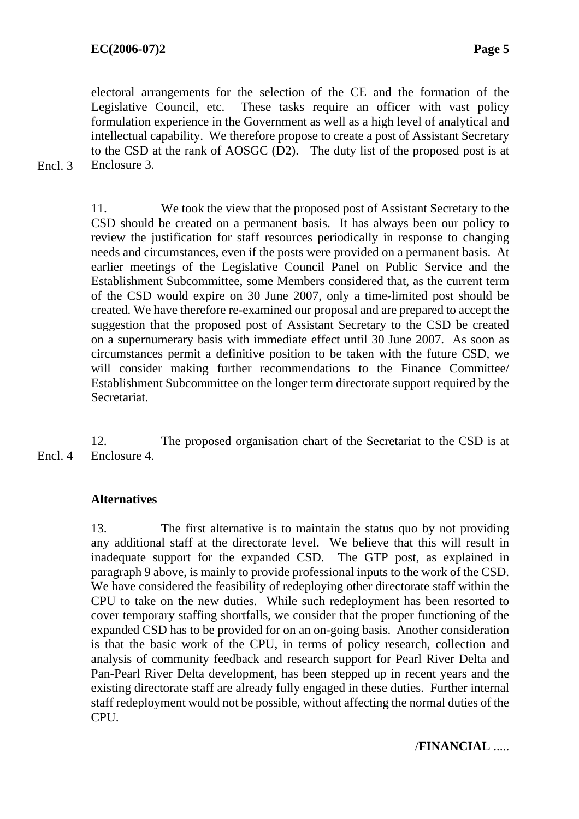electoral arrangements for the selection of the CE and the formation of the Legislative Council, etc. These tasks require an officer with vast policy formulation experience in the Government as well as a high level of analytical and intellectual capability. We therefore propose to create a post of Assistant Secretary to the CSD at the rank of AOSGC (D2). The duty list of the proposed post is at Enclosure 3.

Encl. 3

11. We took the view that the proposed post of Assistant Secretary to the CSD should be created on a permanent basis. It has always been our policy to review the justification for staff resources periodically in response to changing needs and circumstances, even if the posts were provided on a permanent basis. At earlier meetings of the Legislative Council Panel on Public Service and the Establishment Subcommittee, some Members considered that, as the current term of the CSD would expire on 30 June 2007, only a time-limited post should be created. We have therefore re-examined our proposal and are prepared to accept the suggestion that the proposed post of Assistant Secretary to the CSD be created on a supernumerary basis with immediate effect until 30 June 2007. As soon as circumstances permit a definitive position to be taken with the future CSD, we will consider making further recommendations to the Finance Committee/ Establishment Subcommittee on the longer term directorate support required by the Secretariat.

12. The proposed organisation chart of the Secretariat to the CSD is at Enclosure 4. Encl. 4

### **Alternatives**

13. The first alternative is to maintain the status quo by not providing any additional staff at the directorate level. We believe that this will result in inadequate support for the expanded CSD. The GTP post, as explained in paragraph 9 above, is mainly to provide professional inputs to the work of the CSD. We have considered the feasibility of redeploying other directorate staff within the CPU to take on the new duties. While such redeployment has been resorted to cover temporary staffing shortfalls, we consider that the proper functioning of the expanded CSD has to be provided for on an on-going basis. Another consideration is that the basic work of the CPU, in terms of policy research, collection and analysis of community feedback and research support for Pearl River Delta and Pan-Pearl River Delta development, has been stepped up in recent years and the existing directorate staff are already fully engaged in these duties. Further internal staff redeployment would not be possible, without affecting the normal duties of the CPU.

### /**FINANCIAL** .....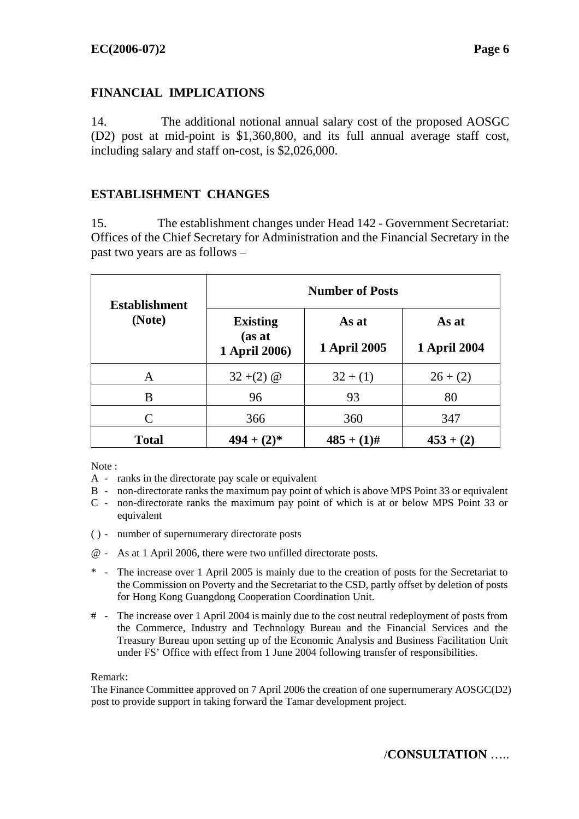### **FINANCIAL IMPLICATIONS**

14. The additional notional annual salary cost of the proposed AOSGC (D2) post at mid-point is \$1,360,800, and its full annual average staff cost, including salary and staff on-cost, is \$2,026,000.

### **ESTABLISHMENT CHANGES**

15. The establishment changes under Head 142 - Government Secretariat: Offices of the Chief Secretary for Administration and the Financial Secretary in the past two years are as follows –

| <b>Establishment</b><br>(Note) | <b>Number of Posts</b>                     |                              |                              |  |
|--------------------------------|--------------------------------------------|------------------------------|------------------------------|--|
|                                | <b>Existing</b><br>(as at<br>1 April 2006) | As at<br><b>1 April 2005</b> | As at<br><b>1 April 2004</b> |  |
| A                              | $32 + (2)$ @                               | $32 + (1)$                   | $26 + (2)$                   |  |
| B                              | 96                                         | 93                           | 80                           |  |
| $\mathsf{C}$                   | 366                                        | 360                          | 347                          |  |
| <b>Total</b>                   | $494 +$<br>$(2)*$                          | $485 + (1)$ #                | $453 + (2)$                  |  |

Note:

- A ranks in the directorate pay scale or equivalent
- B non-directorate ranks the maximum pay point of which is above MPS Point 33 or equivalent
- C non-directorate ranks the maximum pay point of which is at or below MPS Point 33 or equivalent
- ( ) number of supernumerary directorate posts
- @ As at 1 April 2006, there were two unfilled directorate posts.
- \* The increase over 1 April 2005 is mainly due to the creation of posts for the Secretariat to the Commission on Poverty and the Secretariat to the CSD, partly offset by deletion of posts for Hong Kong Guangdong Cooperation Coordination Unit.
- # The increase over 1 April 2004 is mainly due to the cost neutral redeployment of posts from the Commerce, Industry and Technology Bureau and the Financial Services and the Treasury Bureau upon setting up of the Economic Analysis and Business Facilitation Unit under FS' Office with effect from 1 June 2004 following transfer of responsibilities.

Remark:

The Finance Committee approved on 7 April 2006 the creation of one supernumerary AOSGC(D2) post to provide support in taking forward the Tamar development project.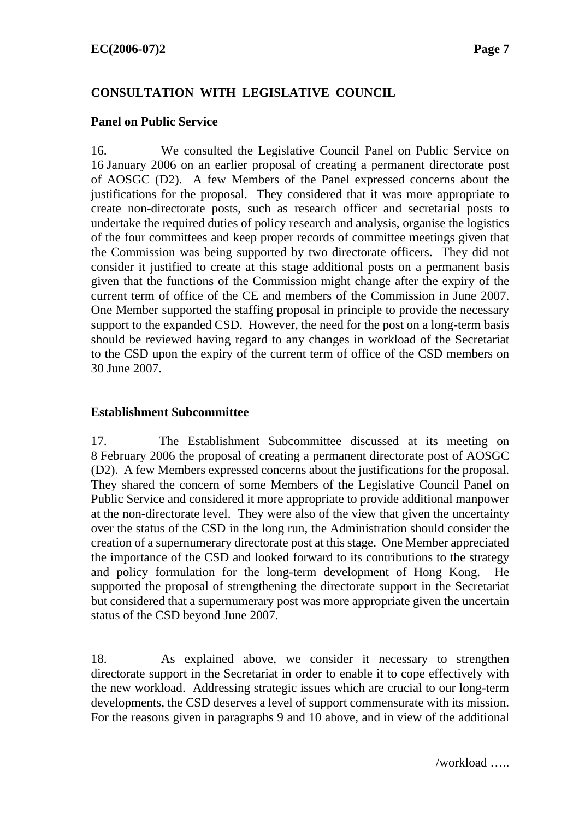# **CONSULTATION WITH LEGISLATIVE COUNCIL**

### **Panel on Public Service**

16. We consulted the Legislative Council Panel on Public Service on 16 January 2006 on an earlier proposal of creating a permanent directorate post of AOSGC (D2). A few Members of the Panel expressed concerns about the justifications for the proposal. They considered that it was more appropriate to create non-directorate posts, such as research officer and secretarial posts to undertake the required duties of policy research and analysis, organise the logistics of the four committees and keep proper records of committee meetings given that the Commission was being supported by two directorate officers. They did not consider it justified to create at this stage additional posts on a permanent basis given that the functions of the Commission might change after the expiry of the current term of office of the CE and members of the Commission in June 2007. One Member supported the staffing proposal in principle to provide the necessary support to the expanded CSD. However, the need for the post on a long-term basis should be reviewed having regard to any changes in workload of the Secretariat to the CSD upon the expiry of the current term of office of the CSD members on 30 June 2007.

# **Establishment Subcommittee**

17. The Establishment Subcommittee discussed at its meeting on 8 February 2006 the proposal of creating a permanent directorate post of AOSGC (D2). A few Members expressed concerns about the justifications for the proposal. They shared the concern of some Members of the Legislative Council Panel on Public Service and considered it more appropriate to provide additional manpower at the non-directorate level. They were also of the view that given the uncertainty over the status of the CSD in the long run, the Administration should consider the creation of a supernumerary directorate post at this stage. One Member appreciated the importance of the CSD and looked forward to its contributions to the strategy and policy formulation for the long-term development of Hong Kong. He supported the proposal of strengthening the directorate support in the Secretariat but considered that a supernumerary post was more appropriate given the uncertain status of the CSD beyond June 2007.

18. As explained above, we consider it necessary to strengthen directorate support in the Secretariat in order to enable it to cope effectively with the new workload. Addressing strategic issues which are crucial to our long-term developments, the CSD deserves a level of support commensurate with its mission. For the reasons given in paragraphs 9 and 10 above, and in view of the additional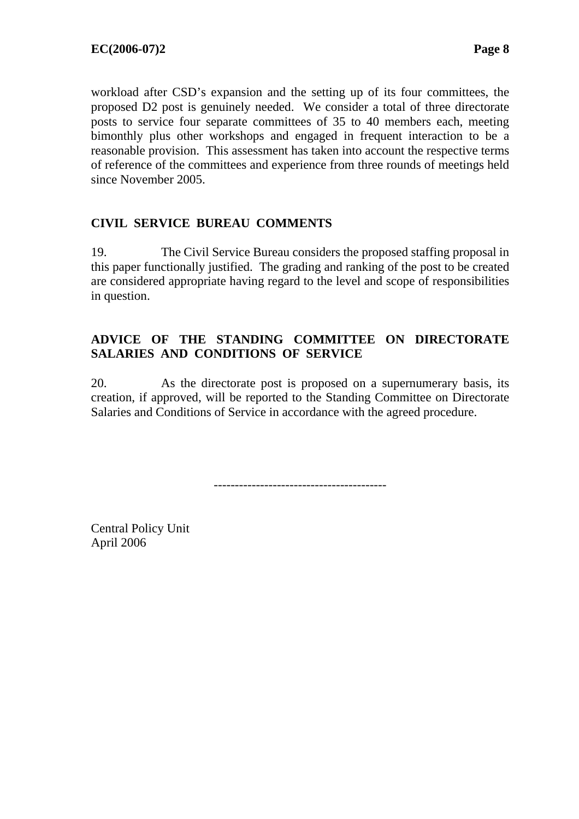workload after CSD's expansion and the setting up of its four committees, the proposed D2 post is genuinely needed. We consider a total of three directorate posts to service four separate committees of 35 to 40 members each, meeting bimonthly plus other workshops and engaged in frequent interaction to be a reasonable provision. This assessment has taken into account the respective terms of reference of the committees and experience from three rounds of meetings held since November 2005.

# **CIVIL SERVICE BUREAU COMMENTS**

19. The Civil Service Bureau considers the proposed staffing proposal in this paper functionally justified. The grading and ranking of the post to be created are considered appropriate having regard to the level and scope of responsibilities in question.

### **ADVICE OF THE STANDING COMMITTEE ON DIRECTORATE SALARIES AND CONDITIONS OF SERVICE**

20. As the directorate post is proposed on a supernumerary basis, its creation, if approved, will be reported to the Standing Committee on Directorate Salaries and Conditions of Service in accordance with the agreed procedure.

-----------------------------------------

Central Policy Unit April 2006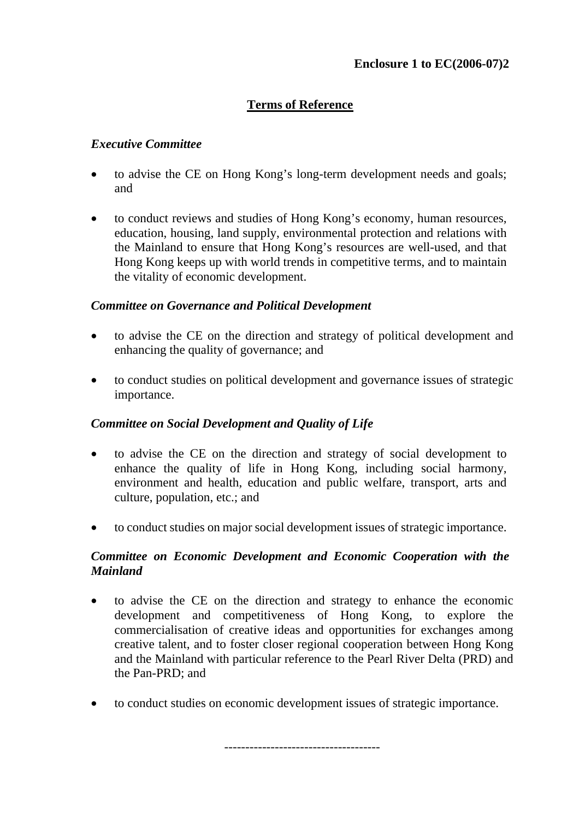# **Terms of Reference**

### *Executive Committee*

- to advise the CE on Hong Kong's long-term development needs and goals; and
- to conduct reviews and studies of Hong Kong's economy, human resources, education, housing, land supply, environmental protection and relations with the Mainland to ensure that Hong Kong's resources are well-used, and that Hong Kong keeps up with world trends in competitive terms, and to maintain the vitality of economic development.

### *Committee on Governance and Political Development*

- to advise the CE on the direction and strategy of political development and enhancing the quality of governance; and
- to conduct studies on political development and governance issues of strategic importance.

# *Committee on Social Development and Quality of Life*

- to advise the CE on the direction and strategy of social development to enhance the quality of life in Hong Kong, including social harmony, environment and health, education and public welfare, transport, arts and culture, population, etc.; and
- to conduct studies on major social development issues of strategic importance.

### *Committee on Economic Development and Economic Cooperation with the Mainland*

- to advise the CE on the direction and strategy to enhance the economic development and competitiveness of Hong Kong, to explore the commercialisation of creative ideas and opportunities for exchanges among creative talent, and to foster closer regional cooperation between Hong Kong and the Mainland with particular reference to the Pearl River Delta (PRD) and the Pan-PRD; and
- to conduct studies on economic development issues of strategic importance.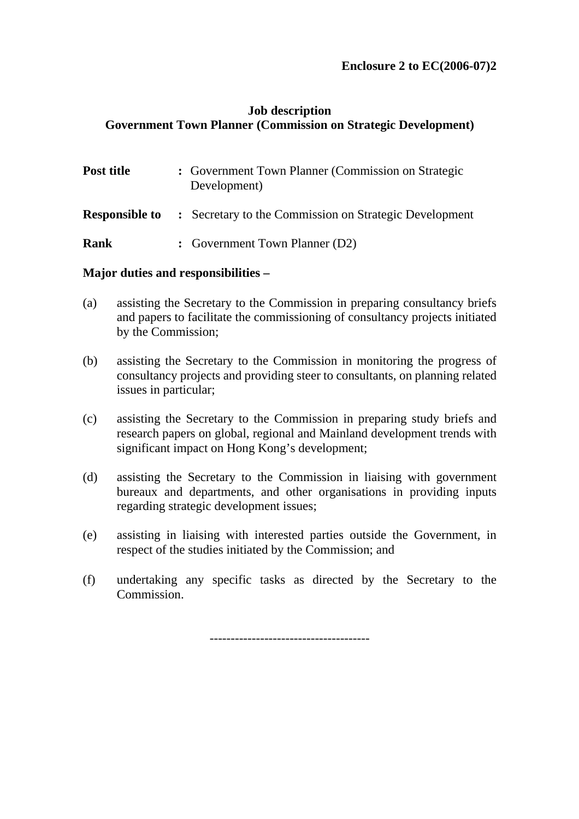**Enclosure 2 to EC(2006-07)2** 

### **Job description Government Town Planner (Commission on Strategic Development)**

| Post title            | : Government Town Planner (Commission on Strategic<br>Development) |  |
|-----------------------|--------------------------------------------------------------------|--|
| <b>Responsible to</b> | : Secretary to the Commission on Strategic Development             |  |
| <b>Rank</b>           | : Government Town Planner (D2)                                     |  |

#### **Major duties and responsibilities –**

- (a) assisting the Secretary to the Commission in preparing consultancy briefs and papers to facilitate the commissioning of consultancy projects initiated by the Commission;
- (b) assisting the Secretary to the Commission in monitoring the progress of consultancy projects and providing steer to consultants, on planning related issues in particular;
- (c) assisting the Secretary to the Commission in preparing study briefs and research papers on global, regional and Mainland development trends with significant impact on Hong Kong's development;
- (d) assisting the Secretary to the Commission in liaising with government bureaux and departments, and other organisations in providing inputs regarding strategic development issues;
- (e) assisting in liaising with interested parties outside the Government, in respect of the studies initiated by the Commission; and
- (f) undertaking any specific tasks as directed by the Secretary to the Commission.

--------------------------------------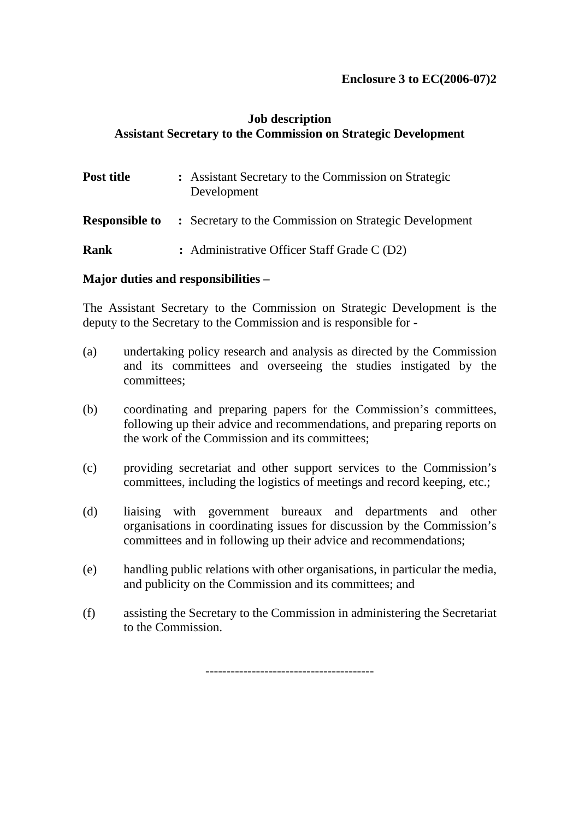#### **Enclosure 3 to EC(2006-07)2**

### **Job description Assistant Secretary to the Commission on Strategic Development**

| Post title            | : Assistant Secretary to the Commission on Strategic<br>Development |
|-----------------------|---------------------------------------------------------------------|
| <b>Responsible to</b> | : Secretary to the Commission on Strategic Development              |
| <b>Rank</b>           | : Administrative Officer Staff Grade C (D2)                         |

#### **Major duties and responsibilities –**

The Assistant Secretary to the Commission on Strategic Development is the deputy to the Secretary to the Commission and is responsible for -

- (a) undertaking policy research and analysis as directed by the Commission and its committees and overseeing the studies instigated by the committees;
- (b) coordinating and preparing papers for the Commission's committees, following up their advice and recommendations, and preparing reports on the work of the Commission and its committees;
- (c) providing secretariat and other support services to the Commission's committees, including the logistics of meetings and record keeping, etc.;
- (d) liaising with government bureaux and departments and other organisations in coordinating issues for discussion by the Commission's committees and in following up their advice and recommendations;
- (e) handling public relations with other organisations, in particular the media, and publicity on the Commission and its committees; and
- (f) assisting the Secretary to the Commission in administering the Secretariat to the Commission.

----------------------------------------